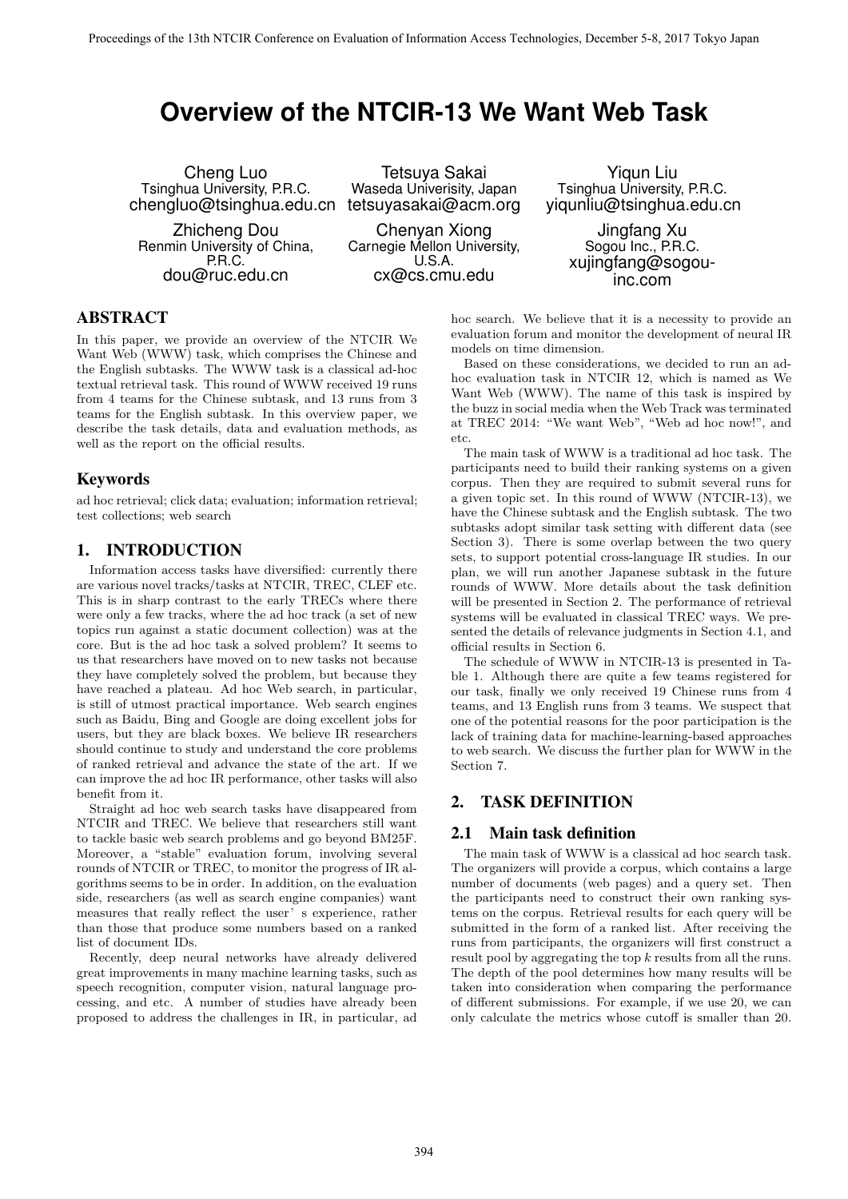# **Overview of the NTCIR-13 We Want Web Task**

Cheng Luo Tsinghua University, P.R.C. chengluo@tsinghua.edu.cn

Zhicheng Dou Renmin University of China, P.R.C. dou@ruc.edu.cn

Tetsuya Sakai Waseda Univerisity, Japan tetsuyasakai@acm.org

Chenyan Xiong Carnegie Mellon University,  $I.S.A$ cx@cs.cmu.edu

Yiqun Liu Tsinghua University, P.R.C. yiqunliu@tsinghua.edu.cn

> Jingfang Xu Sogou Inc., P.R.C. xujingfang@sogouinc.com

# ABSTRACT

In this paper, we provide an overview of the NTCIR We Want Web (WWW) task, which comprises the Chinese and the English subtasks. The WWW task is a classical ad-hoc textual retrieval task. This round of WWW received 19 runs from 4 teams for the Chinese subtask, and 13 runs from 3 teams for the English subtask. In this overview paper, we describe the task details, data and evaluation methods, as well as the report on the official results.

# Keywords

ad hoc retrieval; click data; evaluation; information retrieval; test collections; web search

# 1. INTRODUCTION

Information access tasks have diversified: currently there are various novel tracks/tasks at NTCIR, TREC, CLEF etc. This is in sharp contrast to the early TRECs where there were only a few tracks, where the ad hoc track (a set of new topics run against a static document collection) was at the core. But is the ad hoc task a solved problem? It seems to us that researchers have moved on to new tasks not because they have completely solved the problem, but because they have reached a plateau. Ad hoc Web search, in particular, is still of utmost practical importance. Web search engines such as Baidu, Bing and Google are doing excellent jobs for users, but they are black boxes. We believe IR researchers should continue to study and understand the core problems of ranked retrieval and advance the state of the art. If we can improve the ad hoc IR performance, other tasks will also benefit from it.

Straight ad hoc web search tasks have disappeared from NTCIR and TREC. We believe that researchers still want to tackle basic web search problems and go beyond BM25F. Moreover, a "stable" evaluation forum, involving several rounds of NTCIR or TREC, to monitor the progress of IR algorithms seems to be in order. In addition, on the evaluation side, researchers (as well as search engine companies) want measures that really reflect the user's experience, rather than those that produce some numbers based on a ranked list of document IDs.

Recently, deep neural networks have already delivered great improvements in many machine learning tasks, such as speech recognition, computer vision, natural language processing, and etc. A number of studies have already been proposed to address the challenges in IR, in particular, ad hoc search. We believe that it is a necessity to provide an evaluation forum and monitor the development of neural IR models on time dimension.

Based on these considerations, we decided to run an adhoc evaluation task in NTCIR 12, which is named as We Want Web (WWW). The name of this task is inspired by the buzz in social media when the Web Track was terminated at TREC 2014: "We want Web", "Web ad hoc now!", and etc.

The main task of WWW is a traditional ad hoc task. The participants need to build their ranking systems on a given corpus. Then they are required to submit several runs for a given topic set. In this round of WWW (NTCIR-13), we have the Chinese subtask and the English subtask. The two subtasks adopt similar task setting with different data (see Section 3). There is some overlap between the two query sets, to support potential cross-language IR studies. In our plan, we will run another Japanese subtask in the future rounds of WWW. More details about the task definition will be presented in Section 2. The performance of retrieval systems will be evaluated in classical TREC ways. We presented the details of relevance judgments in Section 4.1, and official results in Section 6.

The schedule of WWW in NTCIR-13 is presented in Table 1. Although there are quite a few teams registered for our task, finally we only received 19 Chinese runs from 4 teams, and 13 English runs from 3 teams. We suspect that one of the potential reasons for the poor participation is the lack of training data for machine-learning-based approaches to web search. We discuss the further plan for WWW in the Section 7.

# 2. TASK DEFINITION

## 2.1 Main task definition

The main task of WWW is a classical ad hoc search task. The organizers will provide a corpus, which contains a large number of documents (web pages) and a query set. Then the participants need to construct their own ranking systems on the corpus. Retrieval results for each query will be submitted in the form of a ranked list. After receiving the runs from participants, the organizers will first construct a result pool by aggregating the top *k* results from all the runs. The depth of the pool determines how many results will be taken into consideration when comparing the performance of different submissions. For example, if we use 20, we can only calculate the metrics whose cutoff is smaller than 20.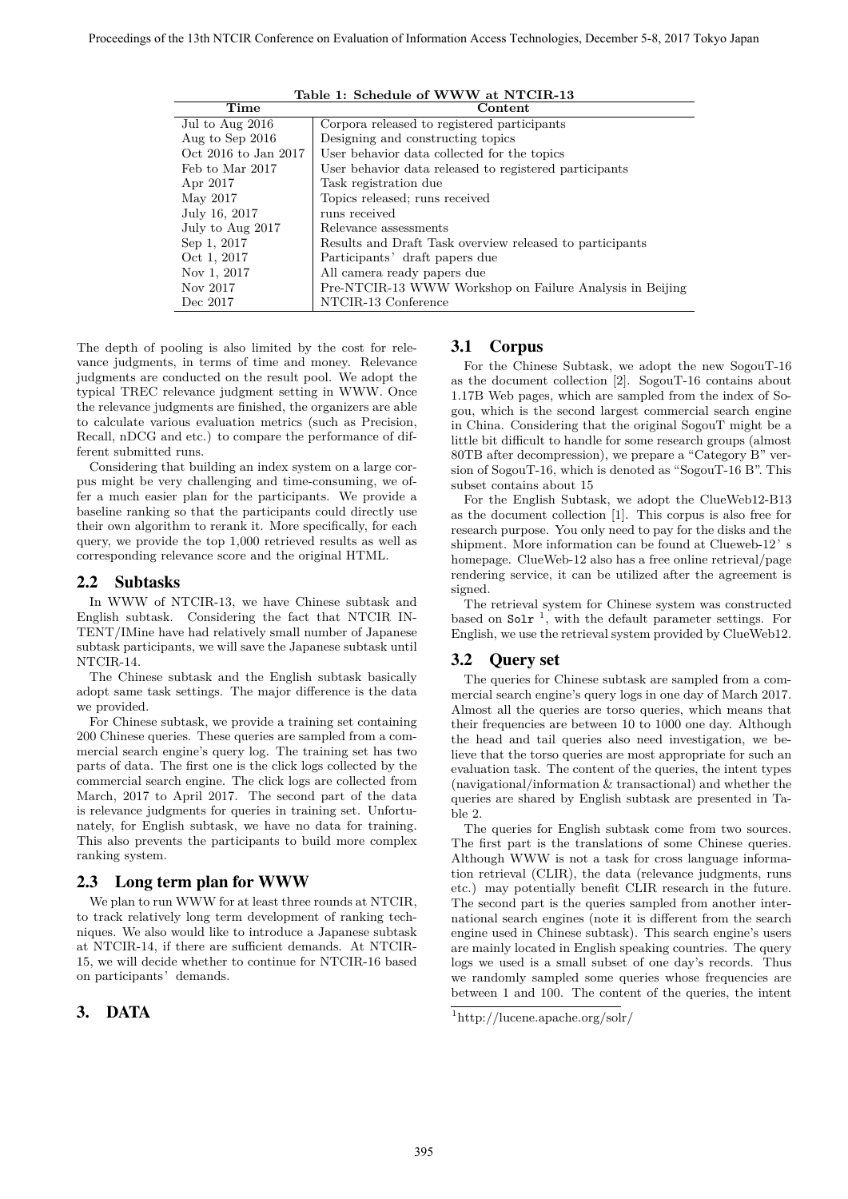| Time                                | Content                                                  |
|-------------------------------------|----------------------------------------------------------|
| $\overline{\text{Jul}}$ to Aug 2016 | Corpora released to registered participants              |
| Aug to Sep 2016                     | Designing and constructing topics                        |
| Oct 2016 to Jan 2017                | User behavior data collected for the topics              |
| Feb to Mar 2017                     | User behavior data released to registered participants   |
| Apr 2017                            | Task registration due                                    |
| May 2017                            | Topics released; runs received                           |
| July 16, 2017                       | runs received                                            |
| July to Aug 2017                    | Relevance assessments                                    |
| Sep 1, 2017                         | Results and Draft Task overview released to participants |
| Oct 1, 2017                         | Participants' draft papers due                           |
| Nov 1, 2017                         | All camera ready papers due                              |
| Nov 2017                            | Pre-NTCIR-13 WWW Workshop on Failure Analysis in Beijing |
| Dec 2017                            | NTCIR-13 Conference                                      |

**Table 1: Schedule of WWW at NTCIR-13**

The depth of pooling is also limited by the cost for relevance judgments, in terms of time and money. Relevance judgments are conducted on the result pool. We adopt the typical TREC relevance judgment setting in WWW. Once the relevance judgments are finished, the organizers are able to calculate various evaluation metrics (such as Precision, Recall, nDCG and etc.) to compare the performance of different submitted runs.

Considering that building an index system on a large corpus might be very challenging and time-consuming, we offer a much easier plan for the participants. We provide a baseline ranking so that the participants could directly use their own algorithm to rerank it. More specifically, for each query, we provide the top 1,000 retrieved results as well as corresponding relevance score and the original HTML.

## 2.2 Subtasks

In WWW of NTCIR-13, we have Chinese subtask and English subtask. Considering the fact that NTCIR IN-TENT/IMine have had relatively small number of Japanese subtask participants, we will save the Japanese subtask until NTCIR-14.

The Chinese subtask and the English subtask basically adopt same task settings. The major difference is the data we provided.

For Chinese subtask, we provide a training set containing 200 Chinese queries. These queries are sampled from a commercial search engine's query log. The training set has two parts of data. The first one is the click logs collected by the commercial search engine. The click logs are collected from March, 2017 to April 2017. The second part of the data is relevance judgments for queries in training set. Unfortunately, for English subtask, we have no data for training. This also prevents the participants to build more complex ranking system.

## 2.3 Long term plan for WWW

We plan to run WWW for at least three rounds at NTCIR, to track relatively long term development of ranking techniques. We also would like to introduce a Japanese subtask at NTCIR-14, if there are sufficient demands. At NTCIR-15, we will decide whether to continue for NTCIR-16 based on participants' demands.

# 3. DATA

#### 3.1 Corpus

For the Chinese Subtask, we adopt the new SogouT-16 as the document collection [2]. SogouT-16 contains about 1.17B Web pages, which are sampled from the index of Sogou, which is the second largest commercial search engine in China. Considering that the original SogouT might be a little bit difficult to handle for some research groups (almost 80TB after decompression), we prepare a "Category B" version of SogouT-16, which is denoted as "SogouT-16 B". This subset contains about 15

For the English Subtask, we adopt the ClueWeb12-B13 as the document collection [1]. This corpus is also free for research purpose. You only need to pay for the disks and the shipment. More information can be found at Clueweb-12's homepage. ClueWeb-12 also has a free online retrieval/page rendering service, it can be utilized after the agreement is signed.

The retrieval system for Chinese system was constructed based on  $S$ olr<sup>1</sup>, with the default parameter settings. For English, we use the retrieval system provided by ClueWeb12.

## 3.2 Query set

The queries for Chinese subtask are sampled from a commercial search engine's query logs in one day of March 2017. Almost all the queries are torso queries, which means that their frequencies are between 10 to 1000 one day. Although the head and tail queries also need investigation, we believe that the torso queries are most appropriate for such an evaluation task. The content of the queries, the intent types (navigational/information & transactional) and whether the queries are shared by English subtask are presented in Table 2.

The queries for English subtask come from two sources. The first part is the translations of some Chinese queries. Although WWW is not a task for cross language information retrieval (CLIR), the data (relevance judgments, runs etc.) may potentially benefit CLIR research in the future. The second part is the queries sampled from another international search engines (note it is different from the search engine used in Chinese subtask). This search engine's users are mainly located in English speaking countries. The query logs we used is a small subset of one day's records. Thus we randomly sampled some queries whose frequencies are between 1 and 100. The content of the queries, the intent

<sup>1</sup>http://lucene.apache.org/solr/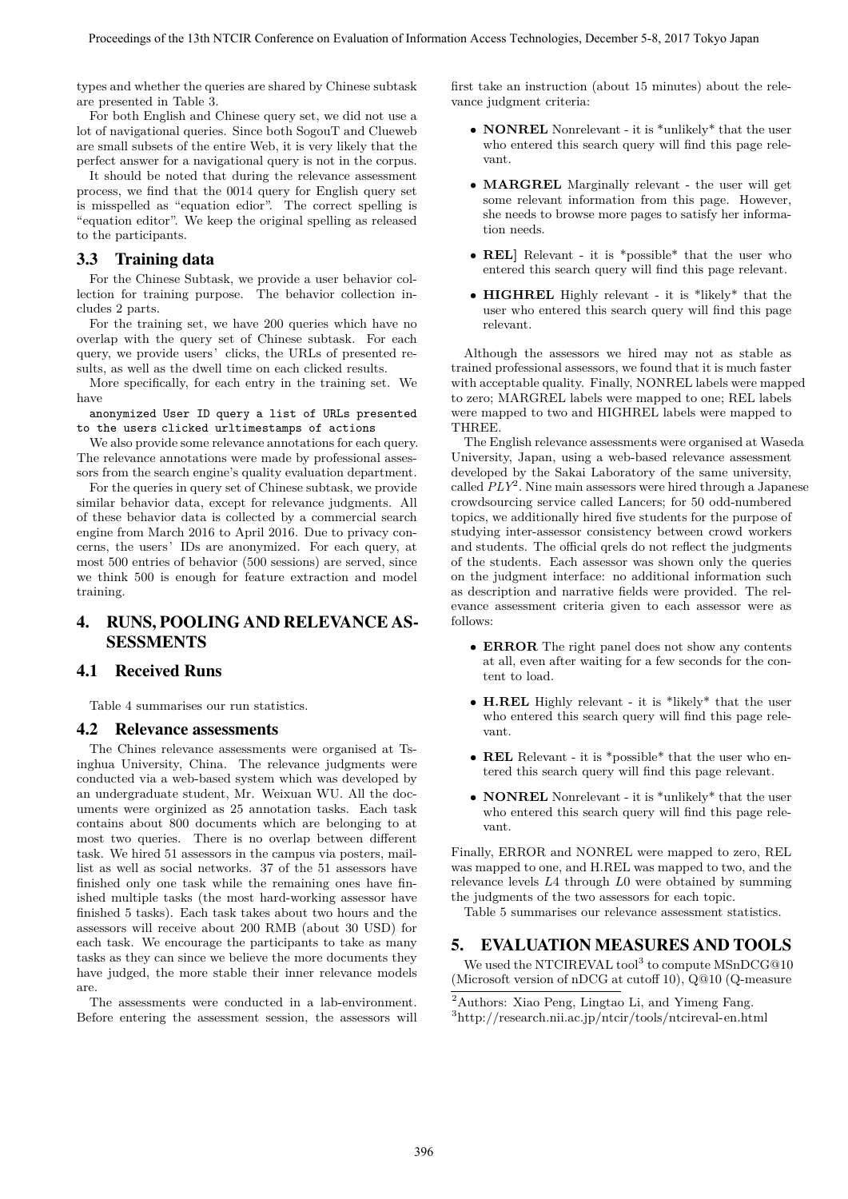types and whether the queries are shared by Chinese subtask are presented in Table 3.

For both English and Chinese query set, we did not use a lot of navigational queries. Since both SogouT and Clueweb are small subsets of the entire Web, it is very likely that the perfect answer for a navigational query is not in the corpus.

It should be noted that during the relevance assessment process, we find that the 0014 query for English query set is misspelled as "equation edior". The correct spelling is "equation editor". We keep the original spelling as released to the participants.

# 3.3 Training data

For the Chinese Subtask, we provide a user behavior collection for training purpose. The behavior collection includes 2 parts.

For the training set, we have 200 queries which have no overlap with the query set of Chinese subtask. For each query, we provide users' clicks, the URLs of presented results, as well as the dwell time on each clicked results.

More specifically, for each entry in the training set. We have

anonymized User ID query a list of URLs presented to the users clicked urltimestamps of actions

We also provide some relevance annotations for each query. The relevance annotations were made by professional assessors from the search engine's quality evaluation department.

For the queries in query set of Chinese subtask, we provide similar behavior data, except for relevance judgments. All of these behavior data is collected by a commercial search engine from March 2016 to April 2016. Due to privacy concerns, the users'IDs are anonymized. For each query, at most 500 entries of behavior (500 sessions) are served, since we think 500 is enough for feature extraction and model training.

# 4. RUNS, POOLING AND RELEVANCE AS-SESSMENTS

## 4.1 Received Runs

Table 4 summarises our run statistics.

#### 4.2 Relevance assessments

The Chines relevance assessments were organised at Tsinghua University, China. The relevance judgments were conducted via a web-based system which was developed by an undergraduate student, Mr. Weixuan WU. All the documents were orginized as 25 annotation tasks. Each task contains about 800 documents which are belonging to at most two queries. There is no overlap between different task. We hired 51 assessors in the campus via posters, maillist as well as social networks. 37 of the 51 assessors have finished only one task while the remaining ones have finished multiple tasks (the most hard-working assessor have finished 5 tasks). Each task takes about two hours and the assessors will receive about 200 RMB (about 30 USD) for each task. We encourage the participants to take as many tasks as they can since we believe the more documents they have judged, the more stable their inner relevance models are.

The assessments were conducted in a lab-environment. Before entering the assessment session, the assessors will first take an instruction (about 15 minutes) about the relevance judgment criteria:

- *•* **NONREL** Nonrelevant it is \*unlikely\* that the user who entered this search query will find this page relevant.
- *•* **MARGREL** Marginally relevant the user will get some relevant information from this page. However, she needs to browse more pages to satisfy her information needs.
- *•* **REL]** Relevant it is \*possible\* that the user who entered this search query will find this page relevant.
- *•* **HIGHREL** Highly relevant it is \*likely\* that the user who entered this search query will find this page relevant.

Although the assessors we hired may not as stable as trained professional assessors, we found that it is much faster with acceptable quality. Finally, NONREL labels were mapped to zero; MARGREL labels were mapped to one; REL labels were mapped to two and HIGHREL labels were mapped to THREE.

The English relevance assessments were organised at Waseda University, Japan, using a web-based relevance assessment developed by the Sakai Laboratory of the same university, called *PLY*<sup>2</sup> . Nine main assessors were hired through a Japanese crowdsourcing service called Lancers; for 50 odd-numbered topics, we additionally hired five students for the purpose of studying inter-assessor consistency between crowd workers and students. The official qrels do not reflect the judgments of the students. Each assessor was shown only the queries on the judgment interface: no additional information such as description and narrative fields were provided. The relevance assessment criteria given to each assessor were as follows:

- *•* **ERROR** The right panel does not show any contents at all, even after waiting for a few seconds for the content to load.
- *•* **H.REL** Highly relevant it is \*likely\* that the user who entered this search query will find this page relevant.
- *•* **REL** Relevant it is \*possible\* that the user who entered this search query will find this page relevant.
- *•* **NONREL** Nonrelevant it is \*unlikely\* that the user who entered this search query will find this page relevant.

Finally, ERROR and NONREL were mapped to zero, REL was mapped to one, and H.REL was mapped to two, and the relevance levels *L*4 through *L*0 were obtained by summing the judgments of the two assessors for each topic.

Table 5 summarises our relevance assessment statistics.

# 5. EVALUATION MEASURES AND TOOLS

We used the NTCIREVAL tool<sup>3</sup> to compute MSnDCG@10 (Microsoft version of nDCG at cutoff 10), Q@10 (Q-measure

<sup>3</sup>http://research.nii.ac.jp/ntcir/tools/ntcireval-en.html

<sup>2</sup>Authors: Xiao Peng, Lingtao Li, and Yimeng Fang.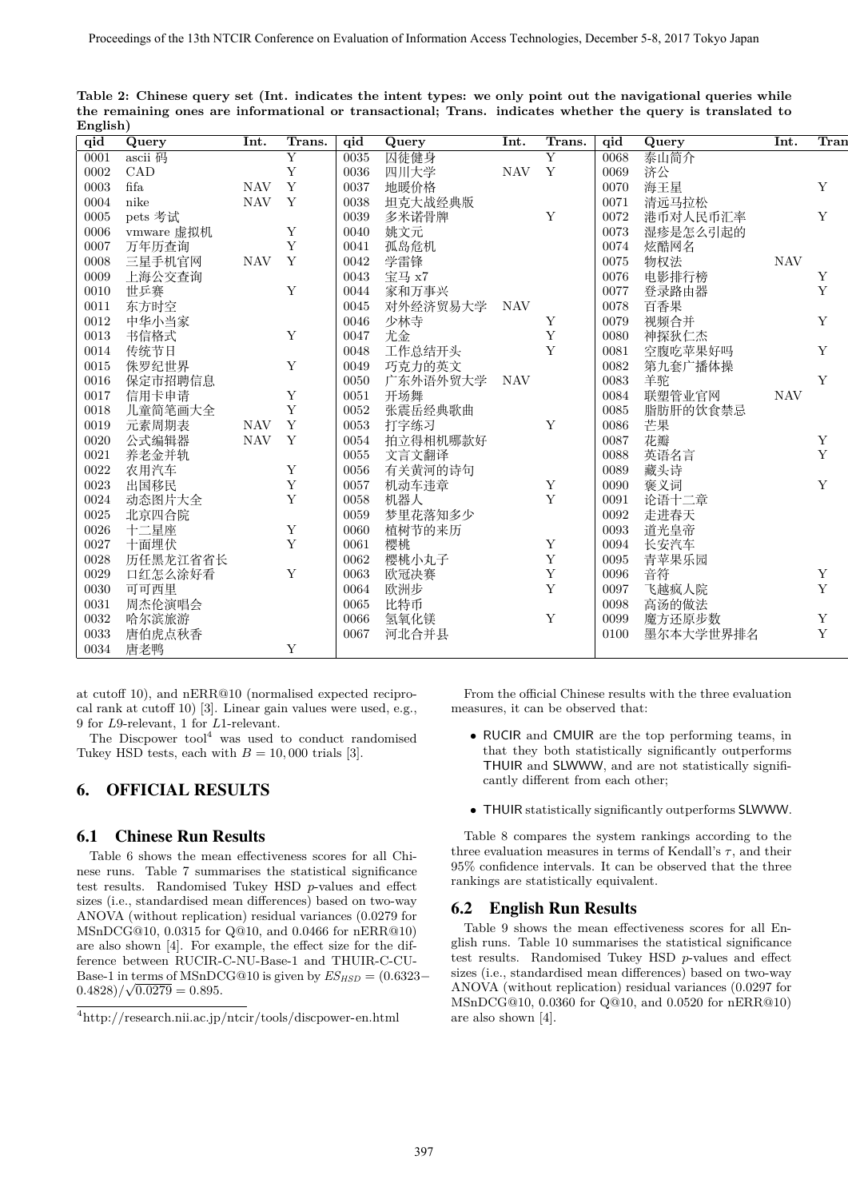| $\overline{qid}$ | Query         | Int.                      | Trans.         | qid  | Query    | Int.       | Trans.                  | qid  | Query     | Int.       | $\overline{\text{Tran}}$ |
|------------------|---------------|---------------------------|----------------|------|----------|------------|-------------------------|------|-----------|------------|--------------------------|
| 0001             | ascii 码       |                           | $\overline{Y}$ | 0035 | 囚徒健身     |            | $\overline{\mathrm{Y}}$ | 0068 | 泰山简介      |            |                          |
| 0002             | CAD           |                           | $\mathbf Y$    | 0036 | 四川大学     | <b>NAV</b> | $\mathbf Y$             | 0069 | 济公        |            |                          |
| 0003             | $_{\rm fifa}$ | <b>NAV</b>                | Y              | 0037 | 地暖价格     |            |                         | 0070 | 海王星       |            | Y                        |
| 0004             | nike          | $\ensuremath{\text{NAV}}$ | Y              | 0038 | 坦克大战经典版  |            |                         | 0071 | 清远马拉松     |            |                          |
| 0005             | pets 考试       |                           |                | 0039 | 多米诺骨牌    |            | $\mathbf Y$             | 0072 | 港币对人民币汇率  |            | $\mathbf{Y}$             |
| 0006             | vmware 虚拟机    |                           | Y              | 0040 | 姚文元      |            |                         | 0073 | 湿疹是怎么引起的  |            |                          |
| 0007             | 万年历查询         |                           | Y              | 0041 | 孤岛危机     |            |                         | 0074 | 炫酷网名      |            |                          |
| 0008             | 三星手机官网        | <b>NAV</b>                | Y              | 0042 | 学雷锋      |            |                         | 0075 | 物权法       | <b>NAV</b> |                          |
| 0009             | 上海公交查询        |                           |                | 0043 | 宝马 x7    |            |                         | 0076 | 电影排行榜     |            | Y                        |
| 0010             | 世乒赛           |                           | Y              | 0044 | 家和万事兴    |            |                         | 0077 | 登录路由器     |            | Y                        |
| 0011             | 东方时空          |                           |                | 0045 | 对外经济贸易大学 | NAV        |                         | 0078 | 百香果       |            |                          |
| 0012             | 中华小当家         |                           |                | 0046 | 少林寺      |            | Y                       | 0079 | 视频合并      |            | $\mathbf Y$              |
| 0013             | 书信格式          |                           | $\mathbf Y$    | 0047 | 尤金       |            | $\mathbf Y$             | 0080 | 神探狄仁杰     |            |                          |
| 0014             | 传统节日          |                           |                | 0048 | 工作总结开头   |            | Y                       | 0081 | 空腹吃苹果好吗   |            | $\mathbf Y$              |
| 0015             | 侏罗纪世界         |                           | $\mathbf Y$    | 0049 | 巧克力的英文   |            |                         | 0082 | 第九套广播体操   |            |                          |
| 0016             | 保定市招聘信息       |                           |                | 0050 | 广东外语外贸大学 | <b>NAV</b> |                         | 0083 | 羊驼        |            | $\mathbf Y$              |
| 0017             | 信用卡申请         |                           | Y              | 0051 | 开场舞      |            |                         | 0084 | 联塑管业官网    | <b>NAV</b> |                          |
| 0018             | 儿童简笔画大全       |                           | $\mathbf Y$    | 0052 | 张震岳经典歌曲  |            |                         | 0085 | 脂肪肝的饮食禁忌  |            |                          |
| 0019             | 元素周期表         | <b>NAV</b>                | Y              | 0053 | 打字练习     |            | $\mathbf Y$             | 0086 | 芒果        |            |                          |
| 0020             | 公式编辑器         | <b>NAV</b>                | $\mathbf Y$    | 0054 | 拍立得相机哪款好 |            |                         | 0087 | 花瓣        |            | Y                        |
| 0021             | 养老金并轨         |                           |                | 0055 | 文言文翻译    |            |                         | 0088 | 英语名言      |            | Y                        |
| 0022             | 农用汽车          |                           | $\mathbf Y$    | 0056 | 有关黄河的诗句  |            |                         | 0089 | 藏头诗       |            |                          |
| 0023             | 出国移民          |                           | $\mathbf Y$    | 0057 | 机动车违章    |            | $\mathbf Y$             | 0090 | 褒义词       |            | Y                        |
| 0024             | 动态图片大全        |                           | $\mathbf Y$    | 0058 | 机器人      |            | $\mathbf{Y}$            | 0091 | 论语十二章     |            |                          |
| 0025             | 北京四合院         |                           |                | 0059 | 梦里花落知多少  |            |                         | 0092 | 走进春天      |            |                          |
| 0026             | 十二星座          |                           | Y              | 0060 | 植树节的来历   |            |                         | 0093 | 道光皇帝      |            |                          |
| 0027             | 十面埋伏          |                           | Y              | 0061 | 樱桃       |            | $\mathbf Y$             | 0094 | 长安汽车      |            |                          |
| 0028             | 历任黑龙江省省长      |                           |                | 0062 | 樱桃小丸子    |            | $\mathbf Y$             | 0095 | 青苹果乐园     |            |                          |
| 0029             | 口红怎么涂好看       |                           | $\mathbf Y$    | 0063 | 欧冠决赛     |            | $\mathbf Y$             | 0096 | 音符        |            | $\mathbf Y$              |
| 0030             | 可可西里          |                           |                | 0064 | 欧洲步      |            | $\mathbf Y$             | 0097 | 飞越疯人院     |            | $\mathbf Y$              |
| 0031             | 周杰伦演唱会        |                           |                | 0065 | 比特币      |            |                         | 0098 | 高汤的做法     |            |                          |
| 0032             | 哈尔滨旅游         |                           |                | 0066 | 氢氧化镁     |            | $\mathbf Y$             | 0099 | 魔方还原步数    |            | $\mathbf Y$              |
| 0033             | 唐伯虎点秋香        |                           |                | 0067 | 河北合并县    |            |                         | 0100 | 墨尔本大学世界排名 |            | Y                        |
| 0034             | 唐老鸭           |                           | $\mathbf Y$    |      |          |            |                         |      |           |            |                          |

**Table 2: Chinese query set (Int. indicates the intent types: we only point out the navigational queries while the remaining ones are informational or transactional; Trans. indicates whether the query is translated to English)**

at cutoff 10), and nERR@10 (normalised expected reciprocal rank at cutoff 10) [3]. Linear gain values were used, e.g., 9 for *L*9-relevant, 1 for *L*1-relevant.

The Discpower  $\text{tool}^4$  was used to conduct randomised Tukey HSD tests, each with  $B = 10,000$  trials [3].

# 6. OFFICIAL RESULTS

## 6.1 Chinese Run Results

Table 6 shows the mean effectiveness scores for all Chinese runs. Table 7 summarises the statistical significance test results. Randomised Tukey HSD *p*-values and effect sizes (i.e., standardised mean differences) based on two-way ANOVA (without replication) residual variances (0.0279 for MSnDCG@10, 0.0315 for Q@10, and 0.0466 for nERR@10) are also shown [4]. For example, the effect size for the difference between RUCIR-C-NU-Base-1 and THUIR-C-CU-Base-1 in terms of MSnDCG@10 is given by  $ES_{HSD} = (0.6323 (0.4828)/\sqrt{0.0279} = 0.895.$ 

From the official Chinese results with the three evaluation measures, it can be observed that:

- *•* RUCIR and CMUIR are the top performing teams, in that they both statistically significantly outperforms THUIR and SLWWW, and are not statistically significantly different from each other;
- *•* THUIR statistically significantly outperforms SLWWW.

Table 8 compares the system rankings according to the three evaluation measures in terms of Kendall's  $\tau$ , and their 95% confidence intervals. It can be observed that the three rankings are statistically equivalent.

## 6.2 English Run Results

Table 9 shows the mean effectiveness scores for all English runs. Table 10 summarises the statistical significance test results. Randomised Tukey HSD *p*-values and effect sizes (i.e., standardised mean differences) based on two-way ANOVA (without replication) residual variances (0.0297 for MSnDCG@10, 0.0360 for Q@10, and 0.0520 for nERR@10) are also shown [4].

 $^4$ http://research.nii.ac.jp/ntcir/tools/discpower-en.html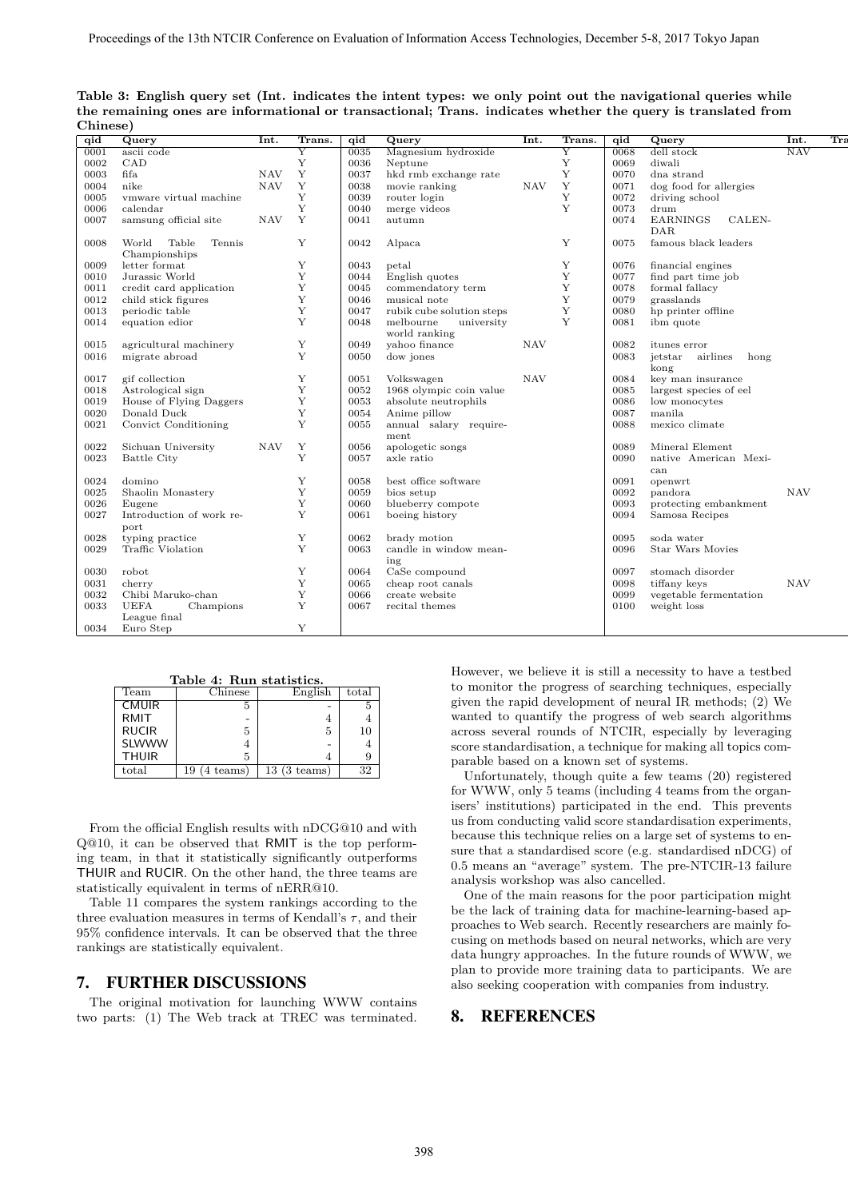| qid        | Query                    | Int.       | Trans.                  | qid  | Query                     | Int.       | Trans.                  | qid  | Query                       | Int.       | Tra |
|------------|--------------------------|------------|-------------------------|------|---------------------------|------------|-------------------------|------|-----------------------------|------------|-----|
| 0001       | ascii code               |            | $\overline{\mathrm{Y}}$ | 0035 | Magnesium hydroxide       |            | $\overline{\mathrm{Y}}$ | 0068 | dell stock                  | <b>NAV</b> |     |
| 0002       | CAD                      |            | Y                       | 0036 | Neptune                   |            | Y                       | 0069 | diwali                      |            |     |
| 0003       | fifa                     | <b>NAV</b> | $\mathbf Y$             | 0037 | hkd rmb exchange rate     |            | Y                       | 0070 | dna strand                  |            |     |
| 0004       | nike                     | <b>NAV</b> | Y                       | 0038 | movie ranking             | <b>NAV</b> | Y                       | 0071 | dog food for allergies      |            |     |
| 0005       | vmware virtual machine   |            | Y                       | 0039 | router login              |            | Υ                       | 0072 | driving school              |            |     |
| 0006       | calendar                 |            | Y                       | 0040 | merge videos              |            | Y                       | 0073 | drum                        |            |     |
| 0007       | samsung official site    | <b>NAV</b> | Y                       | 0041 | autumn                    |            |                         | 0074 | <b>EARNINGS</b><br>CALEN-   |            |     |
|            |                          |            |                         |      |                           |            |                         |      | <b>DAR</b>                  |            |     |
| 0008       | World<br>Table<br>Tennis |            | Y                       | 0042 | Alpaca                    |            | Υ                       | 0075 | famous black leaders        |            |     |
|            | Championships            |            |                         |      |                           |            |                         |      |                             |            |     |
| 0009       | letter format            |            | Y                       | 0043 | petal                     |            | Υ                       | 0076 | financial engines           |            |     |
| 0010       | Jurassic World           |            | Y                       | 0044 | English quotes            |            | Υ                       | 0077 | find part time job          |            |     |
| 0011       | credit card application  |            | Υ                       | 0045 | commendatory term         |            | Υ                       | 0078 | formal fallacy              |            |     |
| 0012       | child stick figures      |            | Y                       | 0046 | musical note              |            | Y                       | 0079 | grasslands                  |            |     |
| 0013       | periodic table           |            | Y                       | 0047 | rubik cube solution steps |            | Y                       | 0080 | hp printer offline          |            |     |
| 0014       | equation edior           |            | Y                       | 0048 | melbourne<br>university   |            | Y                       | 0081 | ibm quote                   |            |     |
|            |                          |            |                         |      | world ranking             |            |                         |      |                             |            |     |
| $\bf 0015$ | agricultural machinery   |            | Y                       | 0049 | vahoo finance             | <b>NAV</b> |                         | 0082 | itunes error                |            |     |
| 0016       | migrate abroad           |            | Y                       | 0050 | dow jones                 |            |                         | 0083 | airlines<br>jetstar<br>hong |            |     |
|            |                          |            |                         |      |                           |            |                         |      | kong                        |            |     |
| 0017       | gif collection           |            | Y                       | 0051 | Volkswagen                | <b>NAV</b> |                         | 0084 | key man insurance           |            |     |
| 0018       | Astrological sign        |            | Y                       | 0052 | 1968 olympic coin value   |            |                         | 0085 | largest species of eel      |            |     |
| 0019       | House of Flying Daggers  |            | Y                       | 0053 | absolute neutrophils      |            |                         | 0086 | low monocytes               |            |     |
| 0020       | Donald Duck              |            | Y                       | 0054 | Anime pillow              |            |                         | 0087 | manila                      |            |     |
| 0021       | Convict Conditioning     |            | Y                       | 0055 | annual salary require-    |            |                         | 0088 | mexico climate              |            |     |
|            |                          |            |                         |      | ment                      |            |                         |      |                             |            |     |
| 0022       | Sichuan University       | <b>NAV</b> | Y                       | 0056 | apologetic songs          |            |                         | 0089 | Mineral Element             |            |     |
| 0023       | <b>Battle City</b>       |            | Y                       | 0057 | axle ratio                |            |                         | 0090 | native American Mexi-       |            |     |
|            |                          |            |                         |      |                           |            |                         |      | can                         |            |     |
| 0024       | domino                   |            | Y                       | 0058 | best office software      |            |                         | 0091 | openwrt                     |            |     |
| 0025       | Shaolin Monastery        |            | Y                       | 0059 | bios setup                |            |                         | 0092 | pandora                     | <b>NAV</b> |     |
| 0026       | Eugene                   |            | Y                       | 0060 | blueberry compote         |            |                         | 0093 | protecting embankment       |            |     |
| 0027       | Introduction of work re- |            | Y                       | 0061 | boeing history            |            |                         | 0094 | Samosa Recipes              |            |     |
|            | port                     |            |                         |      |                           |            |                         |      |                             |            |     |
| 0028       | typing practice          |            | Y                       | 0062 | brady motion              |            |                         | 0095 | soda water                  |            |     |
| 0029       | Traffic Violation        |            | Y                       | 0063 | candle in window mean-    |            |                         | 0096 | Star Wars Movies            |            |     |
|            |                          |            |                         |      | ing                       |            |                         |      |                             |            |     |
| 0030       | robot                    |            | Y                       | 0064 | CaSe compound             |            |                         | 0097 | stomach disorder            |            |     |
| 0031       | cherry                   |            | Y                       | 0065 | cheap root canals         |            |                         | 0098 | tiffany keys                | <b>NAV</b> |     |
| 0032       | Chibi Maruko-chan        |            | Y                       | 0066 | create website            |            |                         | 0099 | vegetable fermentation      |            |     |
| 0033       | <b>UEFA</b><br>Champions |            | Y                       | 0067 | recital themes            |            |                         | 0100 | weight loss                 |            |     |
|            | League final             |            |                         |      |                           |            |                         |      |                             |            |     |
| 0034       | Euro Step                |            | Y                       |      |                           |            |                         |      |                             |            |     |
|            |                          |            |                         |      |                           |            |                         |      |                             |            |     |

**Table 3: English query set (Int. indicates the intent types: we only point out the navigational queries while the remaining ones are informational or transactional; Trans. indicates whether the query is translated from Chinese)**

**Table 4: Run statistics.**<br>
Team Chinese English total CMUIR 5 - 5 RMIT  $4$   $4$ RUCIR  $\begin{array}{|c|c|c|c|c|c|c|c|c|} \hline 5 & 5 & 10 \ \hline \end{array}$ SLWWW  $4$  -  $4$ THUIR  $\begin{array}{|c|c|c|c|c|c|} \hline 5 & 4 & 9 \ \hline \end{array}$ 

total 19 (4 teams) 13 (3 teams) 32

From the official English results with nDCG@10 and with Q@10, it can be observed that RMIT is the top performing team, in that it statistically significantly outperforms THUIR and RUCIR. On the other hand, the three teams are statistically equivalent in terms of nERR@10.

Table 11 compares the system rankings according to the three evaluation measures in terms of Kendall's  $\tau$ , and their 95% confidence intervals. It can be observed that the three rankings are statistically equivalent.

#### 7. FURTHER DISCUSSIONS

The original motivation for launching WWW contains two parts: (1) The Web track at TREC was terminated.

However, we believe it is still a necessity to have a testbed to monitor the progress of searching techniques, especially given the rapid development of neural IR methods; (2) We wanted to quantify the progress of web search algorithms across several rounds of NTCIR, especially by leveraging score standardisation, a technique for making all topics comparable based on a known set of systems.

Unfortunately, though quite a few teams (20) registered for WWW, only 5 teams (including 4 teams from the organisers' institutions) participated in the end. This prevents us from conducting valid score standardisation experiments, because this technique relies on a large set of systems to ensure that a standardised score (e.g. standardised nDCG) of 0.5 means an "average" system. The pre-NTCIR-13 failure analysis workshop was also cancelled.

One of the main reasons for the poor participation might be the lack of training data for machine-learning-based approaches to Web search. Recently researchers are mainly focusing on methods based on neural networks, which are very data hungry approaches. In the future rounds of WWW, we plan to provide more training data to participants. We are also seeking cooperation with companies from industry.

#### 8. REFERENCES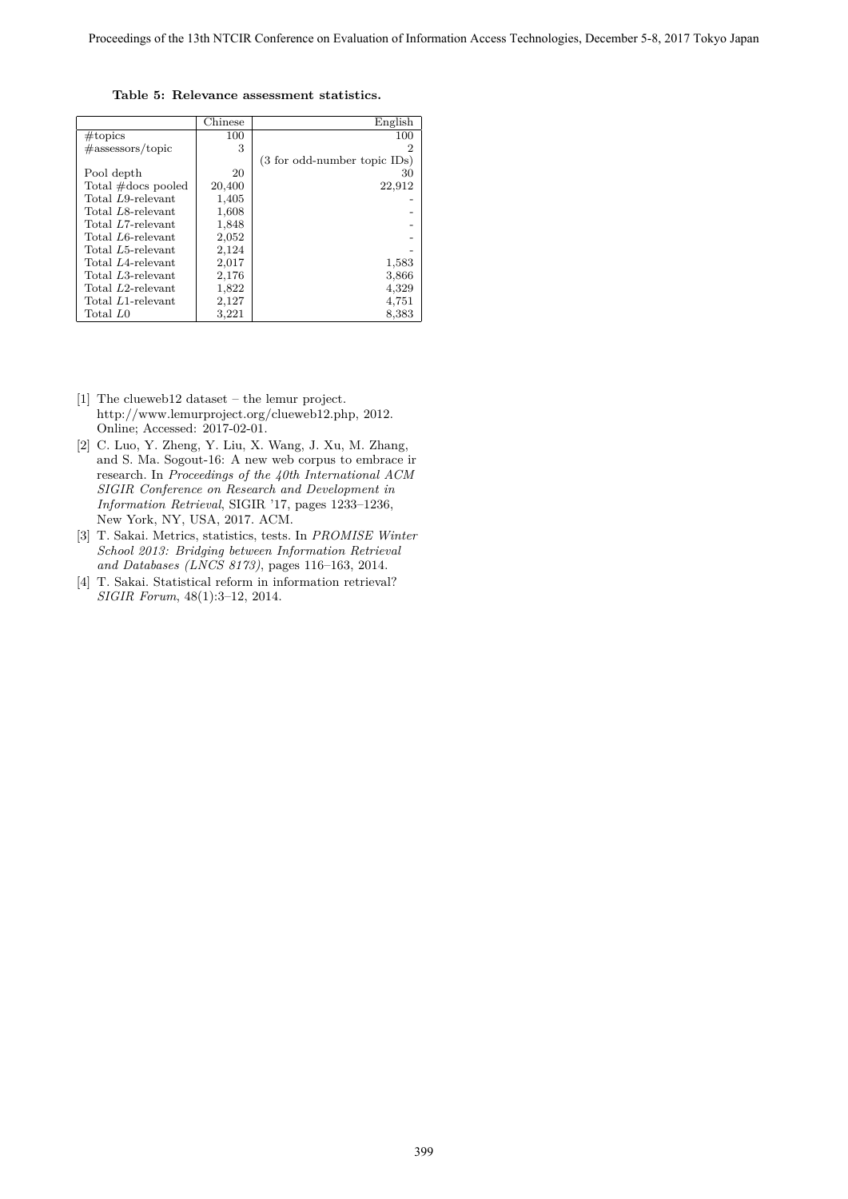**Table 5: Relevance assessment statistics.**

|                      | Chinese | English                                 |
|----------------------|---------|-----------------------------------------|
| $# \text{topics}$    | 100     | 100                                     |
| $\#$ assessors/topic | 3       | 2                                       |
|                      |         | $(3 \text{ for odd-number topic } IDs)$ |
| Pool depth           | 20      | 30                                      |
| Total #docs pooled   | 20,400  | 22,912                                  |
| Total L9-relevant    | 1,405   |                                         |
| Total L8-relevant    | 1,608   |                                         |
| Total L7-relevant    | 1,848   |                                         |
| Total L6-relevant    | 2,052   |                                         |
| Total L5-relevant    | 2,124   |                                         |
| Total L4-relevant    | 2,017   | 1,583                                   |
| Total L3-relevant    | 2,176   | 3,866                                   |
| Total L2-relevant    | 1,822   | 4,329                                   |
| Total L1-relevant    | 2,127   | 4,751                                   |
| Total L <sub>0</sub> | 3,221   | 8,383                                   |

- [1] The clueweb12 dataset the lemur project. http://www.lemurproject.org/clueweb12.php, 2012. Online; Accessed: 2017-02-01.
- [2] C. Luo, Y. Zheng, Y. Liu, X. Wang, J. Xu, M. Zhang, and S. Ma. Sogout-16: A new web corpus to embrace ir research. In *Proceedings of the 40th International ACM SIGIR Conference on Research and Development in Information Retrieval*, SIGIR '17, pages 1233–1236, New York, NY, USA, 2017. ACM.
- [3] T. Sakai. Metrics, statistics, tests. In *PROMISE Winter School 2013: Bridging between Information Retrieval and Databases (LNCS 8173)*, pages 116–163, 2014.
- [4] T. Sakai. Statistical reform in information retrieval? *SIGIR Forum*, 48(1):3–12, 2014.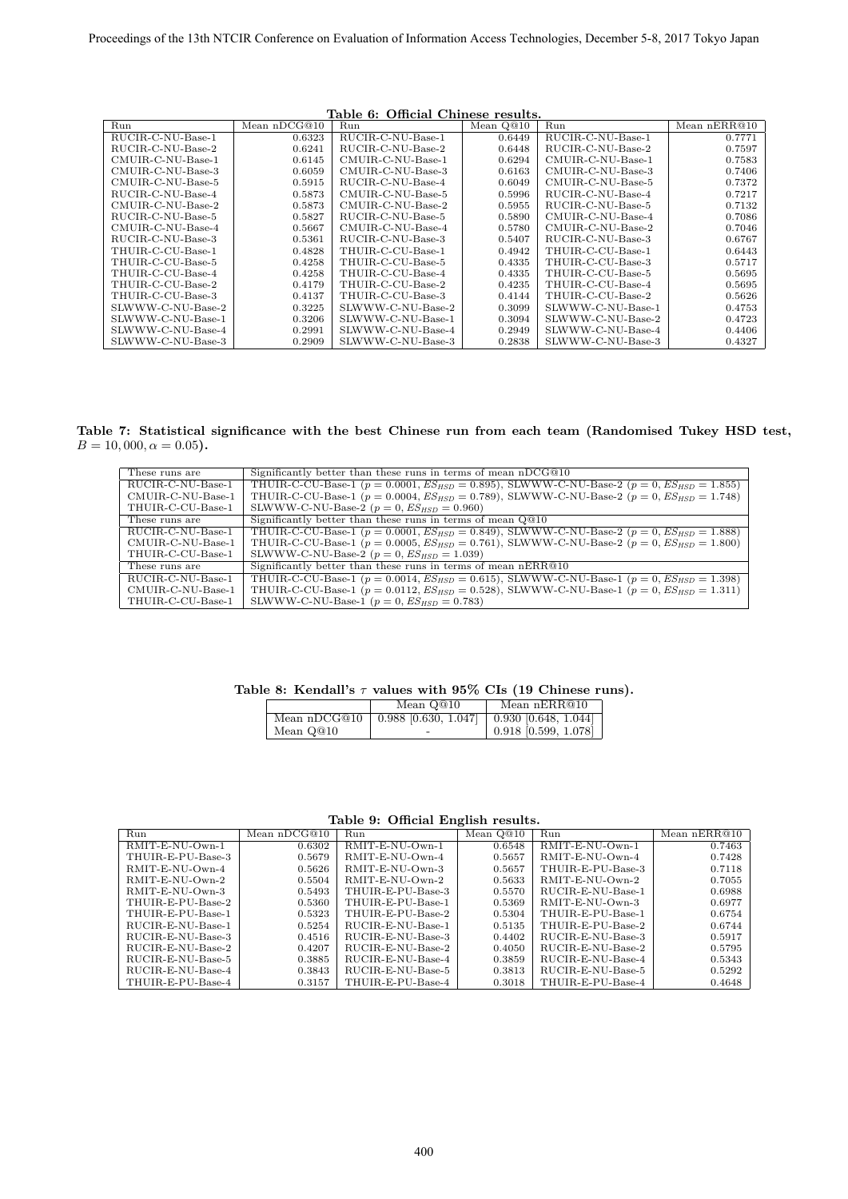| Table 6: Official Chinese results. |                |                   |             |                   |              |  |  |  |
|------------------------------------|----------------|-------------------|-------------|-------------------|--------------|--|--|--|
| Run                                | Mean $nDCG@10$ | Run               | Mean $Q@10$ | Run               | Mean nERR@10 |  |  |  |
| RUCIR-C-NU-Base-1                  | 0.6323         | RUCIR-C-NU-Base-1 | 0.6449      | RUCIR-C-NU-Base-1 | 0.7771       |  |  |  |
| RUCIR-C-NU-Base-2                  | 0.6241         | RUCIR-C-NU-Base-2 | 0.6448      | RUCIR-C-NU-Base-2 | 0.7597       |  |  |  |
| CMUIR-C-NU-Base-1                  | 0.6145         | CMUIR-C-NU-Base-1 | 0.6294      | CMUIR-C-NU-Base-1 | 0.7583       |  |  |  |
| CMUIR-C-NU-Base-3                  | 0.6059         | CMUIR-C-NU-Base-3 | 0.6163      | CMUIR-C-NU-Base-3 | 0.7406       |  |  |  |
| CMUIR-C-NU-Base-5                  | 0.5915         | RUCIR-C-NU-Base-4 | 0.6049      | CMUIR-C-NU-Base-5 | 0.7372       |  |  |  |
| RUCIR-C-NU-Base-4                  | 0.5873         | CMUIR-C-NU-Base-5 | 0.5996      | RUCIR-C-NU-Base-4 | 0.7217       |  |  |  |
| CMUIR-C-NU-Base-2                  | 0.5873         | CMUIR-C-NU-Base-2 | 0.5955      | RUCIR-C-NU-Base-5 | 0.7132       |  |  |  |
| RUCIR-C-NU-Base-5                  | 0.5827         | RUCIR-C-NU-Base-5 | 0.5890      | CMUIR-C-NU-Base-4 | 0.7086       |  |  |  |
| CMUIR-C-NU-Base-4                  | 0.5667         | CMUIR-C-NU-Base-4 | 0.5780      | CMUIR-C-NU-Base-2 | 0.7046       |  |  |  |
| RUCIR-C-NU-Base-3                  | 0.5361         | RUCIR-C-NU-Base-3 | 0.5407      | RUCIR-C-NU-Base-3 | 0.6767       |  |  |  |
| THUIR-C-CU-Base-1                  | 0.4828         | THUIR-C-CU-Base-1 | 0.4942      | THUIR-C-CU-Base-1 | 0.6443       |  |  |  |
| THUIR-C-CU-Base-5                  | 0.4258         | THUIR-C-CU-Base-5 | 0.4335      | THUIR-C-CU-Base-3 | 0.5717       |  |  |  |
| THUIR-C-CU-Base-4                  | 0.4258         | THUIR-C-CU-Base-4 | 0.4335      | THUIR-C-CU-Base-5 | 0.5695       |  |  |  |
| THUIR-C-CU-Base-2                  | 0.4179         | THUIR-C-CU-Base-2 | 0.4235      | THUIR-C-CU-Base-4 | 0.5695       |  |  |  |
| THUIR-C-CU-Base-3                  | 0.4137         | THUIR-C-CU-Base-3 | 0.4144      | THUIR-C-CU-Base-2 | 0.5626       |  |  |  |
| SLWWW-C-NU-Base-2                  | 0.3225         | SLWWW-C-NU-Base-2 | 0.3099      | SLWWW-C-NU-Base-1 | 0.4753       |  |  |  |
| SLWWW-C-NU-Base-1                  | 0.3206         | SLWWW-C-NU-Base-1 | 0.3094      | SLWWW-C-NU-Base-2 | 0.4723       |  |  |  |
| SLWWW-C-NU-Base-4                  | 0.2991         | SLWWW-C-NU-Base-4 | 0.2949      | SLWWW-C-NU-Base-4 | 0.4406       |  |  |  |
| SLWWW-C-NU-Base-3                  | 0.2909         | SLWWW-C-NU-Base-3 | 0.2838      | SLWWW-C-NU-Base-3 | 0.4327       |  |  |  |

**Table 7: Statistical significance with the best Chinese run from each team (Randomised Tukey HSD test,**  $B = 10,000, \alpha = 0.05$ .

| These runs are    | Significantly better than these runs in terms of mean nDCG@10                                               |
|-------------------|-------------------------------------------------------------------------------------------------------------|
| RUCIR-C-NU-Base-1 | THUIR-C-CU-Base-1 ( $p = 0.0001$ , $ES_{HSD} = 0.895$ ), SLWWW-C-NU-Base-2 ( $p = 0$ , $ES_{HSD} = 1.855$ ) |
| CMUIR-C-NU-Base-1 | THUIR-C-CU-Base-1 ( $p = 0.0004$ , $ES_{HSD} = 0.789$ ), SLWWW-C-NU-Base-2 ( $p = 0$ , $ES_{HSD} = 1.748$ ) |
| THUIR-C-CU-Base-1 | SLWWW-C-NU-Base-2 ( $p = 0$ , $ES_{HSD} = 0.960$ )                                                          |
| These runs are    | Significantly better than these runs in terms of mean $Q@10$                                                |
| RUCIR-C-NU-Base-1 | THUIR-C-CU-Base-1 ( $p = 0.0001$ , $ES_{HSD} = 0.849$ ), SLWWW-C-NU-Base-2 ( $p = 0$ , $ES_{HSD} = 1.888$ ) |
| CMUIR-C-NU-Base-1 | THUIR-C-CU-Base-1 ( $p = 0.0005$ , $ES_{HSD} = 0.761$ ), SLWWW-C-NU-Base-2 ( $p = 0$ , $ES_{HSD} = 1.800$ ) |
| THUIR-C-CU-Base-1 | SLWWW-C-NU-Base-2 ( $p = 0$ , $ES_{HSD} = 1.039$ )                                                          |
| These runs are    | Significantly better than these runs in terms of mean nERR@10                                               |
| RUCIR-C-NU-Base-1 | THUIR-C-CU-Base-1 ( $p = 0.0014$ , $ES_{HSD} = 0.615$ ), SLWWW-C-NU-Base-1 ( $p = 0$ , $ES_{HSD} = 1.398$ ) |
| CMUIR-C-NU-Base-1 | THUIR-C-CU-Base-1 ( $p = 0.0112$ , $ES_{HSD} = 0.528$ ), SLWWW-C-NU-Base-1 ( $p = 0$ , $ES_{HSD} = 1.311$ ) |
| THUIR-C-CU-Base-1 | SLWWW-C-NU-Base-1 ( $p = 0$ , $ES_{HSD} = 0.783$ )                                                          |

**Table 8: Kendall's** *τ* **values with 95% CIs (19 Chinese runs).**

|              | Mean Q@10                   | Mean nERR@10                |
|--------------|-----------------------------|-----------------------------|
| Mean nDCG@10 | $\mid$ 0.988 [0.630, 1.047] | $\mid$ 0.930 [0.648, 1.044] |
| Mean Q@10    | $\overline{\phantom{0}}$    | $0.918$ [0.599, 1.078]      |

**Table 9: Official English results.**

| Run                | Mean $nDCG@10$ | Run               | Mean $Q@10$ | Run               | Mean nERR@10 |
|--------------------|----------------|-------------------|-------------|-------------------|--------------|
| $R$ MIT-E-NU-Own-1 | 0.6302         | RMIT-E-NU-Own-1   | 0.6548      | RMIT-E-NU-Own-1   | 0.7463       |
| THUIR-E-PU-Base-3  | 0.5679         | RMIT-E-NU-Own-4   | 0.5657      | RMIT-E-NU-Own-4   | 0.7428       |
| RMIT-E-NU-Own-4    | 0.5626         | RMIT-E-NU-Own-3   | 0.5657      | THUIR-E-PU-Base-3 | 0.7118       |
| RMIT-E-NU-Own-2    | 0.5504         | RMIT-E-NU-Own-2   | 0.5633      | RMIT-E-NU-Own-2   | 0.7055       |
| RMIT-E-NU-Own-3    | 0.5493         | THUIR-E-PU-Base-3 | 0.5570      | RUCIR-E-NU-Base-1 | 0.6988       |
| THUIR-E-PU-Base-2  | 0.5360         | THUIR-E-PU-Base-1 | 0.5369      | RMIT-E-NU-Own-3   | 0.6977       |
| THUIR-E-PU-Base-1  | 0.5323         | THUIR-E-PU-Base-2 | 0.5304      | THUIR-E-PU-Base-1 | 0.6754       |
| RUCIR-E-NU-Base-1  | 0.5254         | RUCIR-E-NU-Base-1 | 0.5135      | THUIR-E-PU-Base-2 | 0.6744       |
| RUCIR-E-NU-Base-3  | 0.4516         | RUCIR-E-NU-Base-3 | 0.4402      | RUCIR-E-NU-Base-3 | 0.5917       |
| RUCIR-E-NU-Base-2  | 0.4207         | RUCIR-E-NU-Base-2 | 0.4050      | RUCIR-E-NU-Base-2 | 0.5795       |
| RUCIR-E-NU-Base-5  | 0.3885         | RUCIR-E-NU-Base-4 | 0.3859      | RUCIR-E-NU-Base-4 | 0.5343       |
| RUCIR-E-NU-Base-4  | 0.3843         | RUCIR-E-NU-Base-5 | 0.3813      | RUCIR-E-NU-Base-5 | 0.5292       |
| THUIR-E-PU-Base-4  | 0.3157         | THUIR-E-PU-Base-4 | 0.3018      | THUIR-E-PU-Base-4 | 0.4648       |